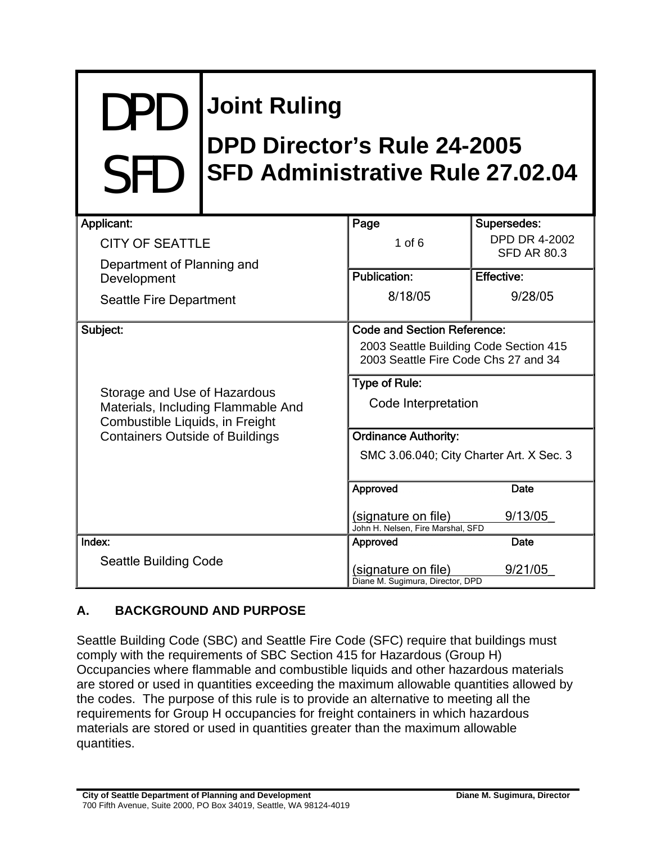# DPD SFD **Joint Ruling DPD Director's Rule 24-2005 SFD Administrative Rule 27.02.04**

| Applicant:                                                         | Page                                     | Supersedes:                                |
|--------------------------------------------------------------------|------------------------------------------|--------------------------------------------|
| <b>CITY OF SEATTLE</b>                                             | $1$ of $6$                               | <b>DPD DR 4-2002</b><br><b>SFD AR 80.3</b> |
| Department of Planning and                                         | <b>Publication:</b>                      | <b>Effective:</b>                          |
| Development                                                        |                                          |                                            |
| Seattle Fire Department                                            | 8/18/05                                  | 9/28/05                                    |
| Subject:                                                           | <b>Code and Section Reference:</b>       |                                            |
|                                                                    | 2003 Seattle Building Code Section 415   |                                            |
|                                                                    | 2003 Seattle Fire Code Chs 27 and 34     |                                            |
|                                                                    | <b>Type of Rule:</b>                     |                                            |
| Storage and Use of Hazardous<br>Materials, Including Flammable And | Code Interpretation                      |                                            |
| Combustible Liquids, in Freight                                    |                                          |                                            |
| <b>Containers Outside of Buildings</b>                             | <b>Ordinance Authority:</b>              |                                            |
|                                                                    | SMC 3.06.040; City Charter Art. X Sec. 3 |                                            |
|                                                                    |                                          |                                            |
|                                                                    | Approved                                 | Date                                       |
|                                                                    | (signature on file)                      | 9/13/05                                    |
|                                                                    | John H. Nelsen, Fire Marshal, SFD        |                                            |
| Index:                                                             | Approved                                 | Date                                       |
| <b>Seattle Building Code</b>                                       | (signature on file)                      | 9/21/05                                    |
|                                                                    | Diane M. Sugimura, Director, DPD         |                                            |

# **A. BACKGROUND AND PURPOSE**

Seattle Building Code (SBC) and Seattle Fire Code (SFC) require that buildings must comply with the requirements of SBC Section 415 for Hazardous (Group H) Occupancies where flammable and combustible liquids and other hazardous materials are stored or used in quantities exceeding the maximum allowable quantities allowed by the codes. The purpose of this rule is to provide an alternative to meeting all the requirements for Group H occupancies for freight containers in which hazardous materials are stored or used in quantities greater than the maximum allowable quantities.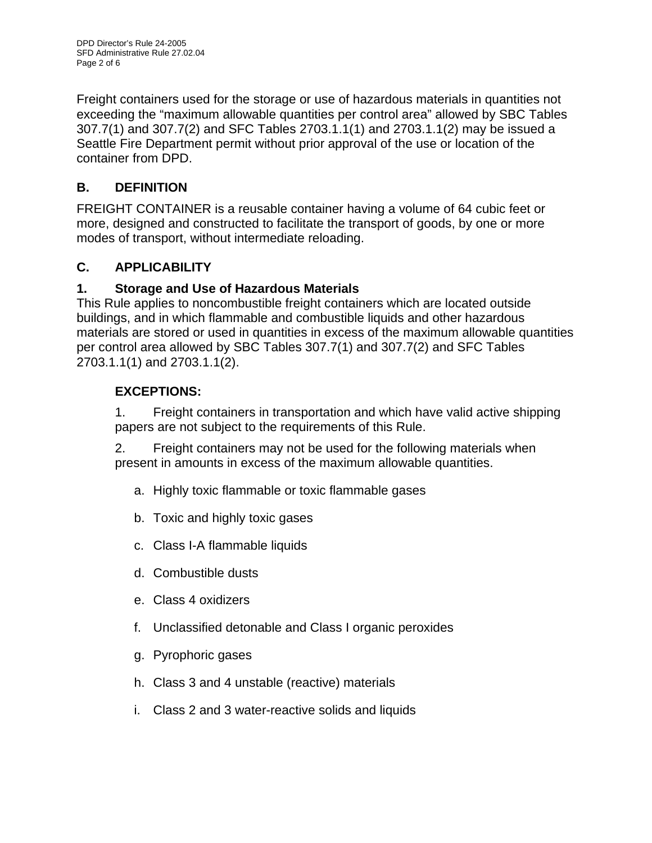Freight containers used for the storage or use of hazardous materials in quantities not exceeding the "maximum allowable quantities per control area" allowed by SBC Tables 307.7(1) and 307.7(2) and SFC Tables 2703.1.1(1) and 2703.1.1(2) may be issued a Seattle Fire Department permit without prior approval of the use or location of the container from DPD.

# **B. DEFINITION**

FREIGHT CONTAINER is a reusable container having a volume of 64 cubic feet or more, designed and constructed to facilitate the transport of goods, by one or more modes of transport, without intermediate reloading.

# **C. APPLICABILITY**

### **1. Storage and Use of Hazardous Materials**

This Rule applies to noncombustible freight containers which are located outside buildings, and in which flammable and combustible liquids and other hazardous materials are stored or used in quantities in excess of the maximum allowable quantities per control area allowed by SBC Tables 307.7(1) and 307.7(2) and SFC Tables 2703.1.1(1) and 2703.1.1(2).

# **EXCEPTIONS:**

1. Freight containers in transportation and which have valid active shipping papers are not subject to the requirements of this Rule.

2. Freight containers may not be used for the following materials when present in amounts in excess of the maximum allowable quantities.

- a. Highly toxic flammable or toxic flammable gases
- b. Toxic and highly toxic gases
- c. Class I-A flammable liquids
- d. Combustible dusts
- e. Class 4 oxidizers
- f. Unclassified detonable and Class I organic peroxides
- g. Pyrophoric gases
- h. Class 3 and 4 unstable (reactive) materials
- i. Class 2 and 3 water-reactive solids and liquids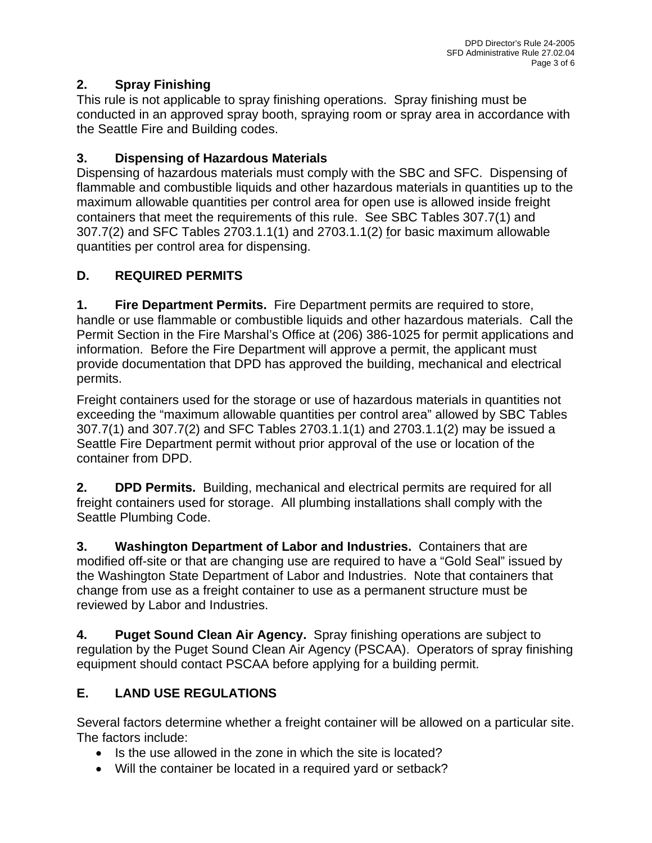# **2. Spray Finishing**

This rule is not applicable to spray finishing operations. Spray finishing must be conducted in an approved spray booth, spraying room or spray area in accordance with the Seattle Fire and Building codes.

# **3. Dispensing of Hazardous Materials**

Dispensing of hazardous materials must comply with the SBC and SFC. Dispensing of flammable and combustible liquids and other hazardous materials in quantities up to the maximum allowable quantities per control area for open use is allowed inside freight containers that meet the requirements of this rule. See SBC Tables 307.7(1) and 307.7(2) and SFC Tables 2703.1.1(1) and 2703.1.1(2) for basic maximum allowable quantities per control area for dispensing.

# **D. REQUIRED PERMITS**

**1. Fire Department Permits.** Fire Department permits are required to store, handle or use flammable or combustible liquids and other hazardous materials. Call the Permit Section in the Fire Marshal's Office at (206) 386-1025 for permit applications and information. Before the Fire Department will approve a permit, the applicant must provide documentation that DPD has approved the building, mechanical and electrical permits.

Freight containers used for the storage or use of hazardous materials in quantities not exceeding the "maximum allowable quantities per control area" allowed by SBC Tables 307.7(1) and 307.7(2) and SFC Tables 2703.1.1(1) and 2703.1.1(2) may be issued a Seattle Fire Department permit without prior approval of the use or location of the container from DPD.

**2. DPD Permits.** Building, mechanical and electrical permits are required for all freight containers used for storage. All plumbing installations shall comply with the Seattle Plumbing Code.

**3. Washington Department of Labor and Industries.** Containers that are modified off-site or that are changing use are required to have a "Gold Seal" issued by the Washington State Department of Labor and Industries. Note that containers that change from use as a freight container to use as a permanent structure must be reviewed by Labor and Industries.

**4. Puget Sound Clean Air Agency.** Spray finishing operations are subject to regulation by the Puget Sound Clean Air Agency (PSCAA). Operators of spray finishing equipment should contact PSCAA before applying for a building permit.

# **E. LAND USE REGULATIONS**

Several factors determine whether a freight container will be allowed on a particular site. The factors include:

- Is the use allowed in the zone in which the site is located?
- Will the container be located in a required yard or setback?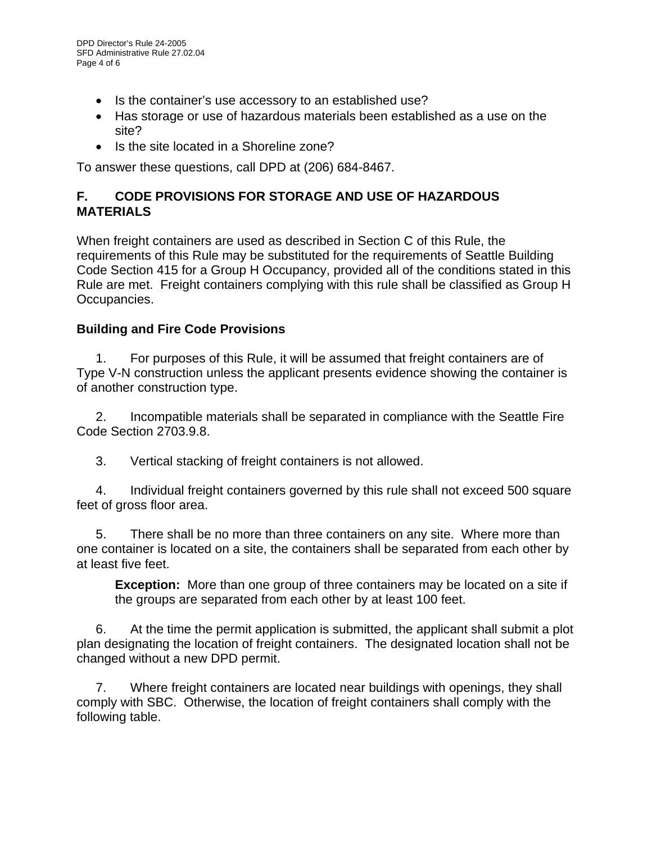- Is the container's use accessory to an established use?
- Has storage or use of hazardous materials been established as a use on the site?
- Is the site located in a Shoreline zone?

To answer these questions, call DPD at (206) 684-8467.

### **F. CODE PROVISIONS FOR STORAGE AND USE OF HAZARDOUS MATERIALS**

When freight containers are used as described in Section C of this Rule, the requirements of this Rule may be substituted for the requirements of Seattle Building Code Section 415 for a Group H Occupancy, provided all of the conditions stated in this Rule are met. Freight containers complying with this rule shall be classified as Group H Occupancies.

### **Building and Fire Code Provisions**

1. For purposes of this Rule, it will be assumed that freight containers are of Type V-N construction unless the applicant presents evidence showing the container is of another construction type.

2. Incompatible materials shall be separated in compliance with the Seattle Fire Code Section 2703.9.8.

3. Vertical stacking of freight containers is not allowed.

4. Individual freight containers governed by this rule shall not exceed 500 square feet of gross floor area.

5. There shall be no more than three containers on any site. Where more than one container is located on a site, the containers shall be separated from each other by at least five feet.

**Exception:** More than one group of three containers may be located on a site if the groups are separated from each other by at least 100 feet.

6. At the time the permit application is submitted, the applicant shall submit a plot plan designating the location of freight containers. The designated location shall not be changed without a new DPD permit.

7. Where freight containers are located near buildings with openings, they shall comply with SBC. Otherwise, the location of freight containers shall comply with the following table.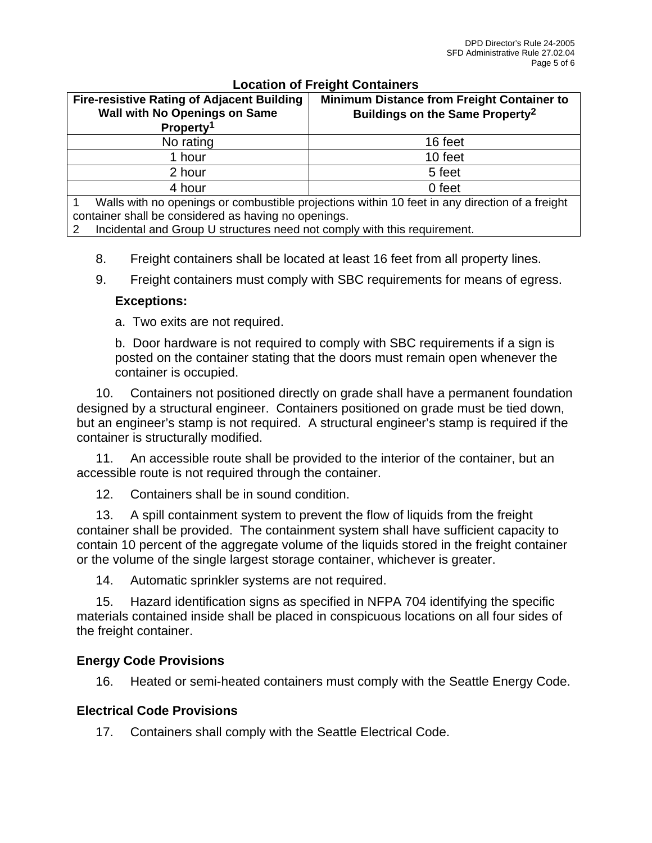| Location of Ficignit Containers                                                    |                                                                                                |                                                                                                  |  |
|------------------------------------------------------------------------------------|------------------------------------------------------------------------------------------------|--------------------------------------------------------------------------------------------------|--|
| <b>Fire-resistive Rating of Adjacent Building</b><br>Wall with No Openings on Same |                                                                                                | <b>Minimum Distance from Freight Container to</b><br>Buildings on the Same Property <sup>2</sup> |  |
|                                                                                    | Property <sup>1</sup>                                                                          |                                                                                                  |  |
|                                                                                    | No rating                                                                                      | 16 feet                                                                                          |  |
|                                                                                    | 1 hour                                                                                         | 10 feet                                                                                          |  |
|                                                                                    | 2 hour                                                                                         | 5 feet                                                                                           |  |
|                                                                                    | 4 hour                                                                                         | 0 feet                                                                                           |  |
|                                                                                    | Walls with no openings or combustible projections within 10 feet in any direction of a freight |                                                                                                  |  |
|                                                                                    |                                                                                                |                                                                                                  |  |

### **Location of Freight Containers**

container shall be considered as having no openings.

2 Incidental and Group U structures need not comply with this requirement.

- 8. Freight containers shall be located at least 16 feet from all property lines.
- 9. Freight containers must comply with SBC requirements for means of egress.

#### **Exceptions:**

a. Two exits are not required.

b. Door hardware is not required to comply with SBC requirements if a sign is posted on the container stating that the doors must remain open whenever the container is occupied.

10. Containers not positioned directly on grade shall have a permanent foundation designed by a structural engineer. Containers positioned on grade must be tied down, but an engineer's stamp is not required. A structural engineer's stamp is required if the container is structurally modified.

11. An accessible route shall be provided to the interior of the container, but an accessible route is not required through the container.

12. Containers shall be in sound condition.

13. A spill containment system to prevent the flow of liquids from the freight container shall be provided. The containment system shall have sufficient capacity to contain 10 percent of the aggregate volume of the liquids stored in the freight container or the volume of the single largest storage container, whichever is greater.

14. Automatic sprinkler systems are not required.

15. Hazard identification signs as specified in NFPA 704 identifying the specific materials contained inside shall be placed in conspicuous locations on all four sides of the freight container.

### **Energy Code Provisions**

16. Heated or semi-heated containers must comply with the Seattle Energy Code.

### **Electrical Code Provisions**

17. Containers shall comply with the Seattle Electrical Code.